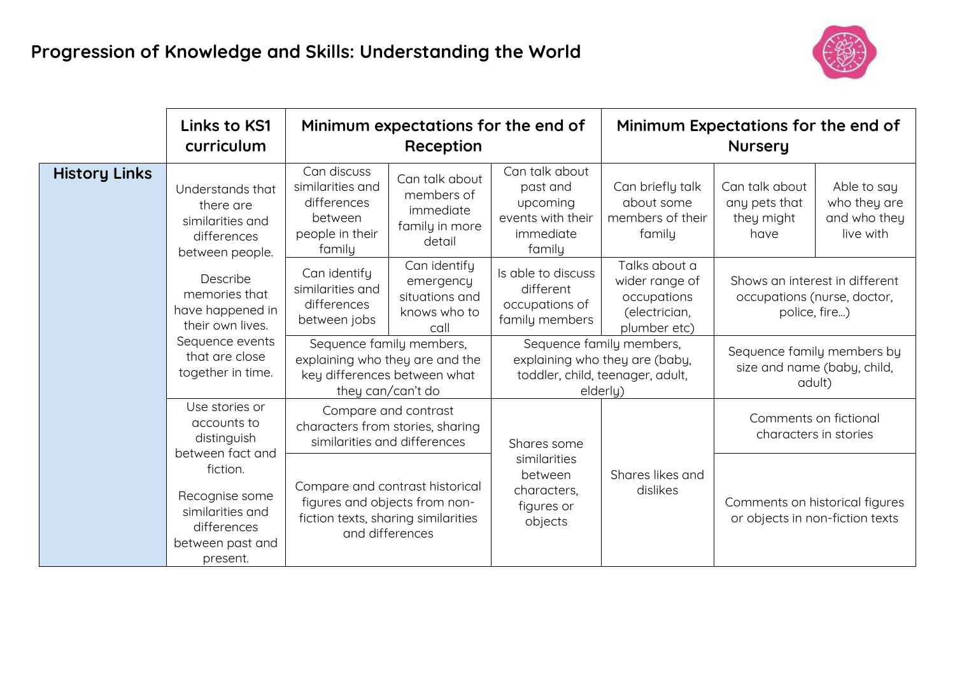

|                      | <b>Links to KS1</b><br>curriculum                                                                                           |                                                                                                                  | Minimum expectations for the end of<br>Reception                                                                           |                                                                                                            | Minimum Expectations for the end of<br><b>Nursery</b>                           |                                                                                |                                                          |
|----------------------|-----------------------------------------------------------------------------------------------------------------------------|------------------------------------------------------------------------------------------------------------------|----------------------------------------------------------------------------------------------------------------------------|------------------------------------------------------------------------------------------------------------|---------------------------------------------------------------------------------|--------------------------------------------------------------------------------|----------------------------------------------------------|
| <b>History Links</b> | Understands that<br>there are<br>similarities and<br>differences<br>between people.                                         | Can discuss<br>similarities and<br>differences<br>between<br>people in their<br>family                           | Can talk about<br>members of<br>immediate<br>family in more<br>detail                                                      | Can talk about<br>past and<br>upcoming<br>events with their<br>immediate<br>family                         | Can briefly talk<br>about some<br>members of their<br>family                    | Can talk about<br>any pets that<br>they might<br>have                          | Able to say<br>who they are<br>and who they<br>live with |
|                      | Describe<br>memories that<br>have happened in<br>their own lives.<br>Sequence events<br>that are close<br>together in time. | Can identify<br>similarities and<br>differences<br>between jobs                                                  | Can identify<br>emergency<br>situations and<br>knows who to<br>call                                                        | Is able to discuss<br>different<br>occupations of<br>family members                                        | Talks about a<br>wider range of<br>occupations<br>(electrician,<br>plumber etc) | Shows an interest in different<br>occupations (nurse, doctor,<br>police, fire) |                                                          |
|                      |                                                                                                                             | Sequence family members,<br>explaining who they are and the<br>key differences between what<br>they can/can't do |                                                                                                                            | Sequence family members,<br>explaining who they are (baby,<br>toddler, child, teenager, adult,<br>elderly) |                                                                                 | Sequence family members by<br>size and name (baby, child,<br>adult)            |                                                          |
|                      | Use stories or<br>accounts to<br>distinguish<br>between fact and                                                            | Compare and contrast<br>characters from stories, sharing<br>similarities and differences                         |                                                                                                                            | Shares some                                                                                                |                                                                                 |                                                                                | Comments on fictional<br>characters in stories           |
|                      | fiction.<br>Recognise some<br>similarities and<br>differences<br>between past and<br>present.                               |                                                                                                                  | Compare and contrast historical<br>figures and objects from non-<br>fiction texts, sharing similarities<br>and differences | similarities<br>between<br>characters,<br>figures or<br>objects                                            | Shares likes and<br>dislikes                                                    | Comments on historical figures<br>or objects in non-fiction texts              |                                                          |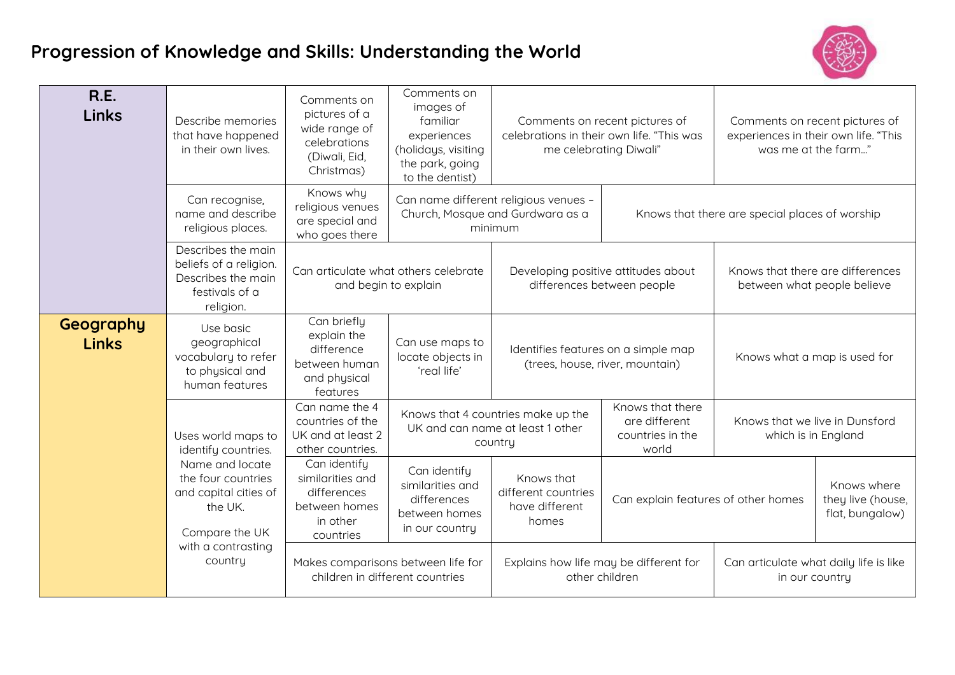## **Progression of Knowledge and Skills: Understanding the World**



| <b>R.E.</b><br><b>Links</b> | Describe memories<br>that have happened<br>in their own lives.                                                                                                                                                                                                                                                  | Comments on<br>Comments on<br>images of<br>pictures of a<br>familiar<br>Comments on recent pictures of<br>wide range of<br>celebrations in their own life. "This was<br>experiences<br>celebrations<br>(holidays, visiting<br>me celebrating Diwali"<br>(Diwali, Eid,<br>the park, going<br>Christmas)<br>to the dentist) |                                                                                    |                                                                                      | Comments on recent pictures of<br>experiences in their own life. "This<br>was me at the farm" |                                                          |                                                |  |
|-----------------------------|-----------------------------------------------------------------------------------------------------------------------------------------------------------------------------------------------------------------------------------------------------------------------------------------------------------------|---------------------------------------------------------------------------------------------------------------------------------------------------------------------------------------------------------------------------------------------------------------------------------------------------------------------------|------------------------------------------------------------------------------------|--------------------------------------------------------------------------------------|-----------------------------------------------------------------------------------------------|----------------------------------------------------------|------------------------------------------------|--|
|                             | Can recognise,<br>name and describe<br>religious places.                                                                                                                                                                                                                                                        | Knows why<br>religious venues<br>are special and<br>who goes there                                                                                                                                                                                                                                                        |                                                                                    | Can name different religious venues -<br>Church, Mosque and Gurdwara as a<br>minimum |                                                                                               |                                                          | Knows that there are special places of worship |  |
|                             | Describes the main<br>beliefs of a religion.<br>Can articulate what others celebrate<br>Developing positive attitudes about<br>Describes the main<br>differences between people<br>and begin to explain<br>festivals of a<br>religion.                                                                          |                                                                                                                                                                                                                                                                                                                           |                                                                                    |                                                                                      | Knows that there are differences<br>between what people believe                               |                                                          |                                                |  |
| Geography<br><b>Links</b>   | Can briefly<br>Use basic<br>explain the<br>geographical<br>Can use maps to<br>difference<br>Identifies features on a simple map<br>vocabulary to refer<br>locate objects in<br>between human<br>(trees, house, river, mountain)<br>to physical and<br>'real life'<br>and physical<br>human features<br>features |                                                                                                                                                                                                                                                                                                                           |                                                                                    | Knows what a map is used for                                                         |                                                                                               |                                                          |                                                |  |
|                             | Uses world maps to<br>identify countries.<br>Name and locate<br>the four countries<br>and capital cities of<br>the UK.<br>Compare the UK<br>with a contrasting<br>country                                                                                                                                       | Can name the 4<br>countries of the<br>UK and at least 2<br>other countries.                                                                                                                                                                                                                                               |                                                                                    | Knows that 4 countries make up the<br>UK and can name at least 1 other<br>country    | Knows that there<br>are different<br>countries in the<br>world                                | Knows that we live in Dunsford<br>which is in England    |                                                |  |
|                             |                                                                                                                                                                                                                                                                                                                 | Can identify<br>similarities and<br>differences<br>between homes<br>in other<br>countries                                                                                                                                                                                                                                 | Can identify<br>similarities and<br>differences<br>between homes<br>in our country | Knows that<br>different countries<br>have different<br>homes                         | Can explain features of other homes                                                           | Knows where<br>they live (house,<br>flat, bungalow)      |                                                |  |
|                             |                                                                                                                                                                                                                                                                                                                 | Makes comparisons between life for<br>children in different countries                                                                                                                                                                                                                                                     |                                                                                    | Explains how life may be different for<br>other children                             |                                                                                               | Can articulate what daily life is like<br>in our country |                                                |  |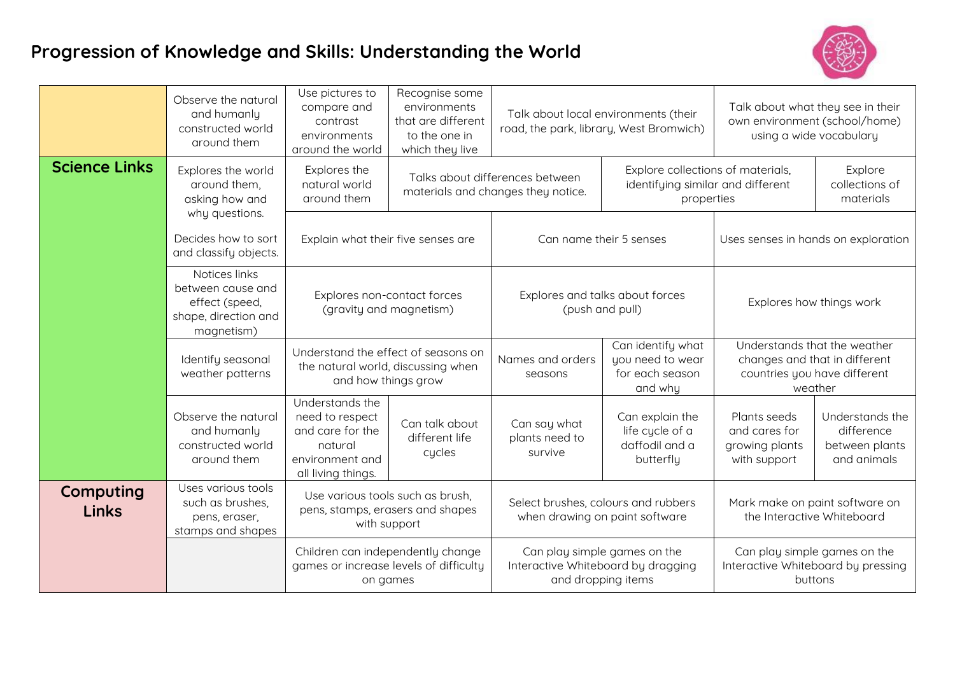## **Progression of Knowledge and Skills: Understanding the World**



|                           | Observe the natural<br>and humanly<br>constructed world<br>around them                     | Use pictures to<br>compare and<br>contrast<br>environments<br>around the world                                                                                                                                                                   | Recognise some<br>environments<br>that are different<br>to the one in<br>which they live | Talk about local environments (their<br>road, the park, library, West Bromwich)                                                                               |                                                                     | Talk about what they see in their<br>own environment (school/home)<br>using a wide vocabulary            |                                                                |
|---------------------------|--------------------------------------------------------------------------------------------|--------------------------------------------------------------------------------------------------------------------------------------------------------------------------------------------------------------------------------------------------|------------------------------------------------------------------------------------------|---------------------------------------------------------------------------------------------------------------------------------------------------------------|---------------------------------------------------------------------|----------------------------------------------------------------------------------------------------------|----------------------------------------------------------------|
| <b>Science Links</b>      | Explores the world<br>around them,<br>asking how and                                       | Explores the<br>natural world<br>around them<br>Explain what their five senses are<br>Explores non-contact forces<br>(gravity and magnetism)<br>Understand the effect of seasons on<br>the natural world, discussing when<br>and how things grow |                                                                                          | Explore collections of materials,<br>Talks about differences between<br>identifying similar and different<br>materials and changes they notice.<br>properties |                                                                     | Explore<br>collections of<br>materials                                                                   |                                                                |
|                           | why questions.<br>Decides how to sort<br>and classify objects.                             |                                                                                                                                                                                                                                                  |                                                                                          |                                                                                                                                                               | Can name their 5 senses                                             | Uses senses in hands on exploration                                                                      |                                                                |
|                           | Notices links<br>between cause and<br>effect (speed,<br>shape, direction and<br>magnetism) |                                                                                                                                                                                                                                                  |                                                                                          | Explores and talks about forces<br>(push and pull)                                                                                                            |                                                                     | Explores how things work                                                                                 |                                                                |
|                           | Identify seasonal<br>weather patterns                                                      |                                                                                                                                                                                                                                                  |                                                                                          | Names and orders<br>seasons                                                                                                                                   | Can identify what<br>you need to wear<br>for each season<br>and why | Understands that the weather<br>changes and that in different<br>countries you have different<br>weather |                                                                |
|                           | Observe the natural<br>and humanly<br>constructed world<br>around them                     | Understands the<br>need to respect<br>and care for the<br>natural<br>environment and<br>all living things.                                                                                                                                       | Can talk about<br>different life<br>cycles                                               | Can say what<br>plants need to<br>survive                                                                                                                     | Can explain the<br>life cycle of a<br>daffodil and a<br>butterfly   | Plants seeds<br>and cares for<br>growing plants<br>with support                                          | Understands the<br>difference<br>between plants<br>and animals |
| Computing<br><b>Links</b> | Uses various tools<br>such as brushes,<br>pens, eraser,<br>stamps and shapes               | Use various tools such as brush,<br>pens, stamps, erasers and shapes<br>with support                                                                                                                                                             |                                                                                          | Select brushes, colours and rubbers<br>when drawing on paint software                                                                                         |                                                                     | Mark make on paint software on<br>the Interactive Whiteboard                                             |                                                                |
|                           |                                                                                            | Children can independently change<br>games or increase levels of difficulty<br>on games                                                                                                                                                          |                                                                                          | Can play simple games on the<br>Interactive Whiteboard by dragging<br>and dropping items                                                                      |                                                                     | Can play simple games on the<br>Interactive Whiteboard by pressing<br>buttons                            |                                                                |